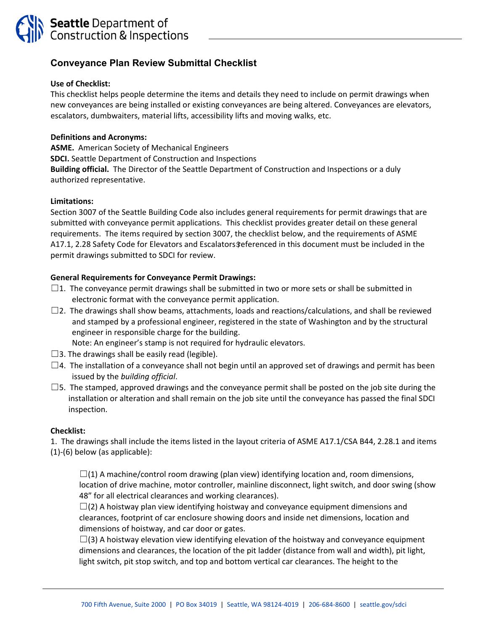

# **Conveyance Plan Review Submittal Checklist**

## **Use of Checklist:**

This checklist helps people determine the items and details they need to include on permit drawings when new conveyances are being installed or existing conveyances are being altered. Conveyances are elevators, escalators, dumbwaiters, material lifts, accessibility lifts and moving walks, etc.

### **Definitions and Acronyms:**

**ASME.** American Society of Mechanical Engineers **SDCI.** Seattle Department of Construction and Inspections **Building official.** The Director of the Seattle Department of Construction and Inspections or a duly authorized representative.

#### **Limitations:**

Section 3007 of the Seattle Building Code also includes general requirements for permit drawings that are submitted with conveyance permit applications. This checklist provides greater detail on these general requirements. The items required by section 3007, the checklist below, and the requirements of ASME A17.1, 2.28 Safety Code for Elevators and Escalators \$eferenced in this document must be included in the permit drawings submitted to SDCI for review.

## **General Requirements for Conveyance Permit Drawings:**

- $\square$ 1. The conveyance permit drawings shall be submitted in two or more sets or shall be submitted in electronic format with the conveyance permit application.
- $\square$ 2. The drawings shall show beams, attachments, loads and reactions/calculations, and shall be reviewed and stamped by a professional engineer, registered in the state of Washington and by the structural engineer in responsible charge for the building.
	- Note: An engineer's stamp is not required for hydraulic elevators.
- $\square$ 3. The drawings shall be easily read (legible).
- $\Box$ 4. The installation of a conveyance shall not begin until an approved set of drawings and permit has been issued by the *building official*.
- $\square$ 5. The stamped, approved drawings and the conveyance permit shall be posted on the job site during the installation or alteration and shall remain on the job site until the conveyance has passed the final SDCI inspection.

## **Checklist:**

1. The drawings shall include the items listed in the layout criteria of ASME A17.1/CSA B44, 2.28.1 and items (1)‐(6) below (as applicable):

 $\Box$ (1) A machine/control room drawing (plan view) identifying location and, room dimensions, location of drive machine, motor controller, mainline disconnect, light switch, and door swing (show 48" for all electrical clearances and working clearances).

 $\Box$ (2) A hoistway plan view identifying hoistway and conveyance equipment dimensions and clearances, footprint of car enclosure showing doors and inside net dimensions, location and dimensions of hoistway, and car door or gates.

 $\square$ (3) A hoistway elevation view identifying elevation of the hoistway and conveyance equipment dimensions and clearances, the location of the pit ladder (distance from wall and width), pit light, light switch, pit stop switch, and top and bottom vertical car clearances. The height to the